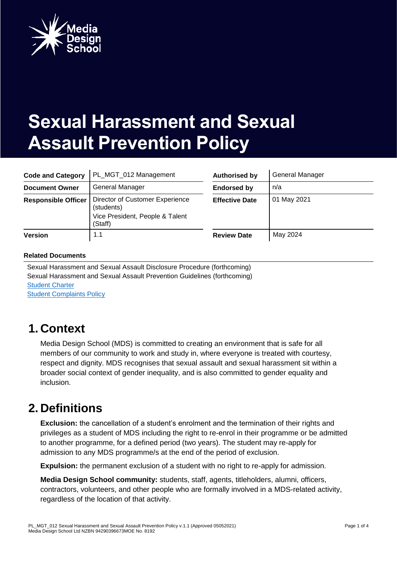

# **Sexual Harassment and Sexual Assault Prevention Policy**

| <b>Code and Category</b>   | PL MGT 012 Management                                                                       | <b>Authorised by</b>  | <b>General Manager</b> |
|----------------------------|---------------------------------------------------------------------------------------------|-----------------------|------------------------|
| <b>Document Owner</b>      | General Manager                                                                             | <b>Endorsed by</b>    | n/a                    |
| <b>Responsible Officer</b> | Director of Customer Experience<br>(students)<br>Vice President, People & Talent<br>(Staff) | <b>Effective Date</b> | 01 May 2021            |
| <b>Version</b>             | 1.1                                                                                         | <b>Review Date</b>    | May 2024               |

#### **Related Documents**

Sexual Harassment and Sexual Assault Disclosure Procedure (forthcoming) Sexual Harassment and Sexual Assault Prevention Guidelines (forthcoming) [Student Charter](https://torrens.blackboard.com/bbcswebdav/xid-34225394_1) [Student Complaints Policy](https://torrens.blackboard.com/bbcswebdav/xid-34224360_1)

### **1. Context**

Media Design School (MDS) is committed to creating an environment that is safe for all members of our community to work and study in, where everyone is treated with courtesy, respect and dignity. MDS recognises that sexual assault and sexual harassment sit within a broader social context of gender inequality, and is also committed to gender equality and inclusion.

### **2. Definitions**

**Exclusion:** the cancellation of a student's enrolment and the termination of their rights and privileges as a student of MDS including the right to re-enrol in their programme or be admitted to another programme, for a defined period (two years). The student may re-apply for admission to any MDS programme/s at the end of the period of exclusion.

**Expulsion:** the permanent exclusion of a student with no right to re-apply for admission.

**Media Design School community:** students, staff, agents, titleholders, alumni, officers, contractors, volunteers, and other people who are formally involved in a MDS-related activity, regardless of the location of that activity.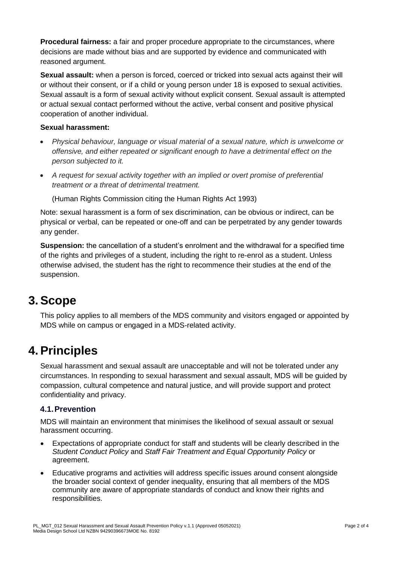**Procedural fairness:** a fair and proper procedure appropriate to the circumstances, where decisions are made without bias and are supported by evidence and communicated with reasoned argument.

**Sexual assault:** when a person is forced, coerced or tricked into sexual acts against their will or without their consent, or if a child or young person under 18 is exposed to sexual activities. Sexual assault is a form of sexual activity without explicit consent. Sexual assault is attempted or actual sexual contact performed without the active, verbal consent and positive physical cooperation of another individual.

#### **Sexual harassment:**

- *Physical behaviour, language or visual material of a sexual nature, which is unwelcome or offensive, and either repeated or significant enough to have a detrimental effect on the person subjected to it.*
- *A request for sexual activity together with an implied or overt promise of preferential treatment or a threat of detrimental treatment.*

(Human Rights Commission citing the Human Rights Act 1993)

Note: sexual harassment is a form of sex discrimination, can be obvious or indirect, can be physical or verbal, can be repeated or one-off and can be perpetrated by any gender towards any gender.

**Suspension:** the cancellation of a student's enrolment and the withdrawal for a specified time of the rights and privileges of a student, including the right to re-enrol as a student. Unless otherwise advised, the student has the right to recommence their studies at the end of the suspension.

### **3.Scope**

This policy applies to all members of the MDS community and visitors engaged or appointed by MDS while on campus or engaged in a MDS-related activity.

### **4.Principles**

Sexual harassment and sexual assault are unacceptable and will not be tolerated under any circumstances. In responding to sexual harassment and sexual assault, MDS will be guided by compassion, cultural competence and natural justice, and will provide support and protect confidentiality and privacy.

### **4.1.Prevention**

MDS will maintain an environment that minimises the likelihood of sexual assault or sexual harassment occurring.

- Expectations of appropriate conduct for staff and students will be clearly described in the *Student Conduct Policy* and *Staff Fair Treatment and Equal Opportunity Policy* or [agreement.](https://policy.csu.edu.au/document/view-current.php?id=237)
- Educative programs and activities will address specific issues around consent alongside the broader social context of gender inequality, ensuring that all members of the MDS community are aware of appropriate standards of conduct and know their rights and responsibilities.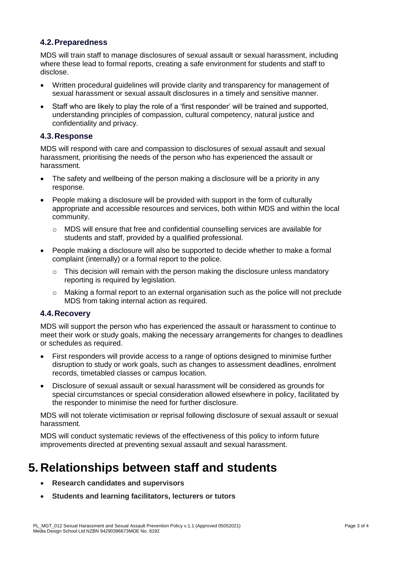### **4.2.Preparedness**

MDS will train staff to manage disclosures of sexual assault or sexual harassment, including where these lead to formal reports, creating a safe environment for students and staff to disclose.

- Written procedural guidelines will provide clarity and transparency for management of sexual harassment or sexual assault disclosures in a timely and sensitive manner.
- Staff who are likely to play the role of a 'first responder' will be trained and supported, understanding principles of compassion, cultural competency, natural justice and confidentiality and privacy.

#### **4.3.Response**

MDS will respond with care and compassion to disclosures of sexual assault and sexual harassment, prioritising the needs of the person who has experienced the assault or harassment.

- The safety and wellbeing of the person making a disclosure will be a priority in any response.
- People making a disclosure will be provided with support in the form of culturally appropriate and accessible resources and services, both within MDS and within the local community.
	- o MDS will ensure that free and confidential counselling services are available for students and staff, provided by a qualified professional.
- People making a disclosure will also be supported to decide whether to make a formal complaint (internally) or a formal report to the police.
	- o This decision will remain with the person making the disclosure unless mandatory reporting is required by legislation.
	- o Making a formal report to an external organisation such as the police will not preclude MDS from taking internal action as required.

### **4.4.Recovery**

MDS will support the person who has experienced the assault or harassment to continue to meet their work or study goals, making the necessary arrangements for changes to deadlines or schedules as required.

- First responders will provide access to a range of options designed to minimise further disruption to study or work goals, such as changes to assessment deadlines, enrolment records, timetabled classes or campus location.
- Disclosure of sexual assault or sexual harassment will be considered as grounds for special circumstances or special consideration allowed elsewhere in policy, facilitated by the responder to minimise the need for further disclosure.

MDS will not tolerate victimisation or reprisal following disclosure of sexual assault or sexual harassment.

MDS will conduct systematic reviews of the effectiveness of this policy to inform future improvements directed at preventing sexual assault and sexual harassment.

# **5. Relationships between staff and students**

- **Research candidates and supervisors**
- **Students and learning facilitators, lecturers or tutors**